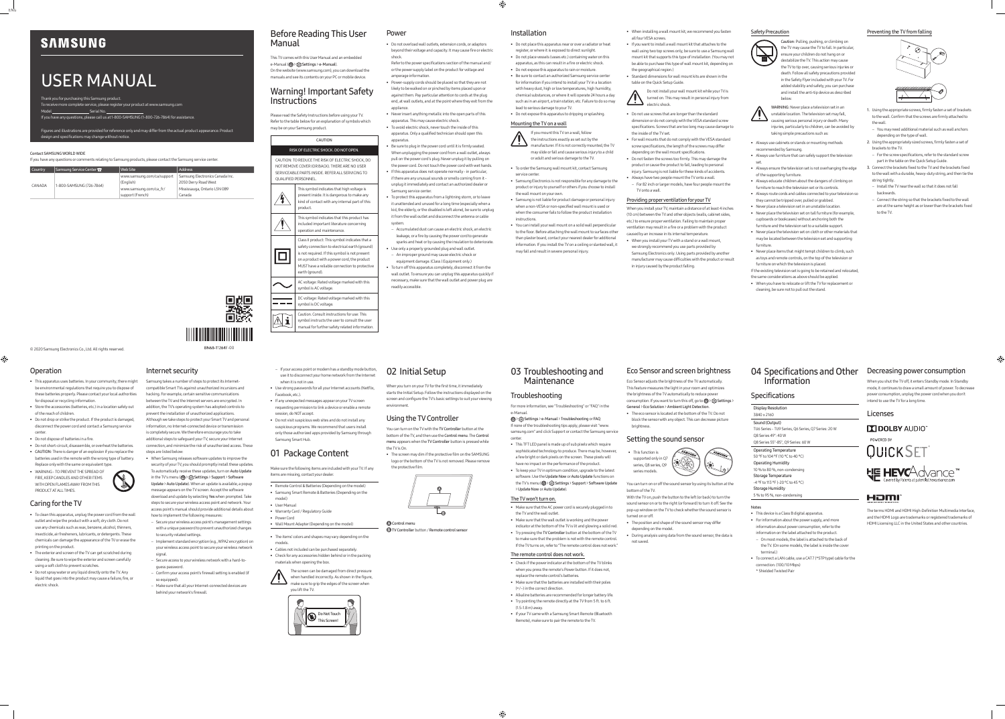# **SAMSUNG**

ENG

# USER MANUAL

Thank you for purchasing this Samsung product.

- To receive more complete service, please register your product at www.samsung.com  $\_$  Serial No.  $\_$
- If you have any questions, please call us at 1-800-SAMSUNG (1-800-726-7864) for assistance.

Figures and illustrations are provided for reference only and may differ from the actual product appearance. Product

design and specifications may change without notice.

### Contact SAMSUNG WORLD WIDE

If you have any questions or comments relating to Samsung products, please contact the Samsung service center.

| <b>Country</b> | Samsung Service Center 2 | Web Site                   | <b>Address</b>                  |
|----------------|--------------------------|----------------------------|---------------------------------|
| CANADA         | 1-800-SAMSUNG (726-7864) | www.samsung.com/ca/support | Samsung Electronics Canada Inc. |
|                |                          | (English)                  | 2050 Derry Road West            |
|                |                          | www.samsung.com/ca fr/     | Mississauga, Ontario L5N 0B9    |
|                |                          | support (French)           | Canada                          |

© 2020 Samsung Electronics Co., Ltd. All rights reserved.

# Before Reading This User Manual

This TV comes with this User Manual and an embedded e-Manual (@> {  $\odot$  > {  $\odot$  Settings > e-Manual). On the website (www.samsung.com), you can download the manuals and see its contents on your PC or mobile device.

## Warning! Important Safety Instructions

Refer to the power specifications section of the manual and/ or the power supply label on the product for voltage and amperage information

Please read the Safety Instructions before using your TV. Refer to the table below for an explanation of symbols which may be on your Samsung product.

### CAUTION

RISK OF ELECTRIC SHOCK. DO NOT OPEN. CAUTION: TO REDUCE THE RISK OF ELECTRIC SHOCK, DO NOT REMOVE COVER (OR BACK). THERE ARE NO USER SERVICEABLE PARTS INSIDE. REFER ALL SERVICING TO QUALIFIED PERSONNEL.

| This symbol indicates that high voltage is<br>present inside. It is dangerous to make any<br>kind of contact with any internal part of this<br>product.                                                                                                               |
|-----------------------------------------------------------------------------------------------------------------------------------------------------------------------------------------------------------------------------------------------------------------------|
| This symbol indicates that this product has<br>included important literature concerning<br>operation and maintenance.                                                                                                                                                 |
| Class II product: This symbol indicates that a<br>safety connection to electrical earth (ground)<br>is not required. If this symbol is not present<br>on a product with a power cord, the product<br>MUST have a reliable connection to protective<br>earth (ground). |
| AC voltage: Rated voltage marked with this<br>symbol is AC voltage.                                                                                                                                                                                                   |
| DC voltage: Rated voltage marked with this<br>symbol is DC voltage.                                                                                                                                                                                                   |
| Caution. Consult instructions for use: This<br>symbol instructs the user to consult the user<br>manual for further safety related information.                                                                                                                        |

### Power

• Do not overload wall outlets, extension cords, or adaptors beyond their voltage and capacity. It may cause fire or electric shock.

- Power-supply cords should be placed so that they are not likely to be walked on or pinched by items placed upon or against them. Pay particular attention to cords at the plug end, at wall outlets, and at the point where they exit from the appliance.
- Never insert anything metallic into the open parts of this apparatus. This may cause electric shock.
- To avoid electric shock, never touch the inside of this apparatus. Only a qualified technician should open this apparatus.
- Be sure to plug in the power cord until it is firmly seated. When unplugging the power cord from a wall outlet, always pull on the power cord's plug. Never unplug it by pulling on the power cord. Do not touch the power cord with wet hands. • If this apparatus does not operate normally - in particular,
- if there are any unusual sounds or smells coming from it unplug it immediately and contact an authorized dealer or
- Samsung service center. • To protect this apparatus from a lightning storm, or to leave it unattended and unused for a long time (especially when a kid, the elderly, or the disabled is left alone), be sure to unplug it from the wall outlet and disconnect the antenna or cable systen
- Accumulated dust can cause an electric shock, an electric leakage, or a fire by causing the power cord to generate
- Use only a properly grounded plug and wall outlet. – An improper ground may cause electric shock or
- To turn off this apparatus completely, disconnect it from the wall outlet. To ensure you can unplug this apparatus quickly if necessary, make sure that the wall outlet and power plug are readily accessible.
- 
- 
- 
- sparks and heat or by causing the insulation to deteriorate.
- equipment damage. (Class l Equipment only.)

### Operation

 $\bigoplus$ 

• This apparatus uses batteries. In your community, there might

be environmental regulations that require you to dispose of these batteries properly. Please contact your local authorities for disposal or recycling information. • Store the accessories (batteries, etc.) in a location safely out

- of the reach of children. • Do not drop or strike the product. If the product is damaged,
- disconnect the power cord and contact a Samsung service center.
- Do not dispose of batteries in a fire.
- Do not short-circuit, disassemble, or overheat the batteries. • CAUTION: There is danger of an explosion if you replace the batteries used in the remote with the wrong type of battery.
- Replace only with the same or equivalent type. • WARNING - TO PREVENT THE SPREAD OF FIRE, KEEP CANDLES AND OTHER ITEMS



### Caring for the TV

- To clean this apparatus, unplug the power cord from the wall  $\nu$ ith a soft, dry cloth. Do n use any chemicals such as wax, benzene, alcohol, thinners, insecticide, air fresheners, lubricants, or detergents. These chemicals can damage the appearance of the TV or erase the printing on the product.
- The exterior and screen of the TV can get scratched during cleaning. Be sure to wipe the exterior and screen carefully using a soft cloth to prevent scratches.
- Do not spray water or any liquid directly onto the TV. Any liquid that goes into the product may cause a failure, fire, or electric shock.

## Installation

Control menu **B** TV Controller button / Remote control sensor

• Do not place this apparatus near or over a radiator or heat register, or where it is exposed to direct sunlight. • Do not place vessels (vases etc.) containing water on this apparatus, as this can result in a fire or electric shock.

- Do not expose this apparatus to rain or moisture. • Be sure to contact an authorized Samsung service center for information if you intend to install your TV in a location with heavy dust, high or low temperatures, high humidity,
- chemical substances, or where it will operate 24 hours a day such as in an airport, a train station, etc. Failure to do so may lead to serious damage to your TV.
- Do not expose this apparatus to dripping or splashing. Mounting the TV on a wall

### • When installing a wall mount kit, we recommend you fasten all four VESA screws

- If you mount this TV on a wall, follow the instructions exactly as set out by the manufacturer. If it is not correctly mounted, the TV
- may slide or fall and cause serious injury to a child or adult and serious damage to the TV.
- 
- To order the Samsung wall mount kit, contact Samsung service center. • Samsung Electronics is not responsible for any damage to the
- product or injury to yourself or others if you choose to install the wall mount on your own. • Samsung is not liable for product damage or personal injury
- when a non-VESA or non-specified wall mount is used or when the consumer fails to follow the product installation instructions.
- You can install your wall mount on a solid wall perpendicular to the floor. Before attaching the wall mount to surfaces other than plaster board, contact your nearest dealer for additional information. If you install the TV on a ceiling or slanted wall, it may fall and result in severe personal injury.

Internet security

Samsung takes a number of steps to protect its Internetcompatible Smart TVs against unauthorized incursions and hacking. For example, certain sensitive communications between the TV and the Internet servers are encrypted. In addition, the TV's operating system has adopted controls to prevent the installation of unauthorized applications. Although we take steps to protect your Smart TV and personal information, no Internet-connected device or transmission is completely secure. We therefore encourage you to take additional steps to safeguard your TV, secure your Internet connection, and minimize the risk of unauthorized access. These

BN68-11264F-00

D<br>ASS

- steps are listed below: • When Samsung releases software updates to improve the security of your TV, you should promptly install these updates.
- To automatically receive these updates, turn on Auto Update in the TV's menu ( $\textcircled{a}$ ) > { $\textcircled{3}$  Settings > Support > Software Update > Auto Update). When an update is available, a popup
- 1. Using the appropriate screws, firmly fasten a set of brackets to the wall. Confirm that the screws are firmly attached to the wall.
- You may need additional material such as wall anchors depending on the type of wall.
- 2. Using the appropriately sized screws, firmly fasten a set of brackets to the TV.
- For the screw specifications, refer to the standard screw part in the table on the Quick Setup Guide.
- 3. Connect the brackets fixed to the TV and the brackets fixed to the wall with a durable, heavy-duty string, and then tie the string tightly.
- Install the TV near the wall so that it does not fall backwards.
- Connect the string so that the brackets fixed to the wall are at the same height as or lower than the brackets fixed to the TV

message appears on the TV screen. Accept the software download and update by selecting Yes when prompted. Take steps to secure your wireless access point and network. Your access point's manual should provide additional details about

# 03 Troubleshooting and **Maintenance**

- how to implement the following measures: – Secure your wireless access point's management settings with a unique password to prevent unauthorized changes
- to security related settings. – Implement standard encryption (e.g., WPA2 encryption) on
- your wireless access point to secure your wireless network signal.
- Secure access to your wireless network with a hard-toguess password.
- Confirm your access point's firewall setting is enabled (if so equipped).
- Make sure that all your Internet-connected devices are behind your network's firewall.

### Safety Precaution



the TV may cause the TV to fall. In particular, ensure your children do not hang on or destabilize the TV. This action may cause the TV to tip over, causing serious injuries or death. Follow all safety precautions provided in the Safety Flyer included with your TV. For added stability and safety, you can purchase and install the anti-tip device as described below.



- Always use cabinets or stands or mounting methods
- recommended by Samsung. • Always use furniture that can safely support the television
- set. • Always ensure the television set is not overhanging the edge of the supporting furniture.
- Always educate children about the dangers of climbing on furniture to reach the television set or its control:
- Always route cords and cables connected to your television so they cannot be tripped over, pulled or grabbed.
- Never place a television set in an unstable location. • Never place the television set on tall furniture (for example, cupboards or bookcases) without anchoring both the
- furniture and the television set to a suitable support. • Never place the television set on cloth or other materials that may be located between the television set and supporting furniture.
- Never place items that might tempt children to climb, such as toys and remote controls, on the top of the television or furniture on which the television is placed.
- If the existing television set is going to be retained and relocated
- the same considerations as above should be applied. • When you have to relocate or lift the TV for replacement or
- cleaning, be sure not to pull out the stand.

# 02 Initial Setup

When you turn on your TV for the first time, it immediately starts the Initial Setup. Follow the instructions displayed on the screen and configure the TV's basic settings to suit your viewing

environment. Using the TV Controller

You can turn on the TV with the TV Controller button at the • The screen may dim if the protective film on the SAMSUNG

bottom of the TV, and then use the Control menu. The Control menu appears when the TV Controller button is pressed while the TV is On.



logo or the bottom of the TV is not removed. Please remove the protective film.



# 04 Specifications and Other Information

### **Specifications**

Display Resolution 3840 x 2160

Sound (Output) TU6 Series - TU9 Series, Q6 Series, Q7 Series: 20 W Q8 Series 49": 40 W Q8 Series 55"-85", Q9 Series: 60 W

Operating Temperature

50 °F to 104 °F (10 °C to 40 °C) Operating Humidity 10 % to 80 %, non-condensing

Storage Temperature

-4 °F to 113 °F (-20 °C to 45 °C)

Storage Humidity

### 5 % to 95 %, non-condensing

### Notes

- This device is a Class B digital apparatus.
- For information about the power supply, and more information about power consumption, refer to the
- information on the label attached to the product. – On most models, the label is attached to the back of the TV. (On some models, the label is inside the cover
- terminal.) • To connect a LAN cable, use a CAT 7 (\*STP type) cable for the
- connection. (100/10 Mbps) \* Shielded Twisted Pair

- -

# HƏMI

- If you want to install a wall mount kit that attaches to the wall using two top screws only, be sure to use a Samsung wall mount kit that supports this type of installation. (You may not be able to purchase this type of wall mount kit, depending on
- the geographical region.) • Standard dimensions for wall mount kits are shown in the table on the Quick Setup Guide.

Do not install your wall mount kit while your TV is turned on. This may result in personal injury from electric shock.

- Do not use screws that are longer than the standard dimension or do not comply with the VESA standard screw
- specifications. Screws that are too long may cause damage to the inside of the TV set. • For wall mounts that do not comply with the VESA standard
- screw specifications, the length of the screws may differ depending on the wall mount specifications.
- Do not fasten the screws too firmly. This may damage the product or cause the product to fall, leading to personal injury. Samsung is not liable for these kinds of accidents.
- Always have two people mount the TV onto a wall. – For 82 inch or larger models, have four people mount the TV onto a wall.

### Providing proper ventilation for your TV

When you install your TV, maintain a distance of at least 4 inches (10 cm) between the TV and other objects (walls, cabinet sides, etc.) to ensure proper ventilation. Failing to maintain proper ventilation may result in a fire or a problem with the product caused by an increase in its internal temperature.

• When you install your TV with a stand or a wall mount, we strongly recommend you use parts provided by Samsung Electronics only. Using parts provided by another manufacturer may cause difficulties with the product or result in injury caused by the product falling.

- If your access point or modem has a standby mode button, use it to disconnect your home network from the Internet when it is not in use.
- Use strong passwords for all your Internet accounts (Netflix, Facebook, etc.).
- If any unexpected messages appear on your TV screen requesting permission to link a device or enable a remote
- session, do NOT accept. • Do not visit suspicious web sites and do not install any
- suspicious programs. We recommend that users install only those authorized apps provided by Samsung through Samsung Smart Hub.

# 01 Package Content

Make sure the following items are included with your TV. If any items are missing, contact your dealer.

- Remote Control & Batteries (Depending on the model) • Samsung Smart Remote & Batteries (Depending on the
- model)
- User Manual
- Warranty Card / Regulatory Guide • Power Cord
- Wall Mount Adapter (Depending on the model)
- The items' colors and shapes may vary depending on the
- models. • Cables not included can be purchased separately.

• Check for any accessories hidden behind or in the packing materials when opening the box.



you lift the TV.



## Eco Sensor and screen brightness Eco Sensor adjusts the brightness of the TV automatically.

This feature measures the light in your room and optimizes the brightness of the TV automatically to reduce power consumption. If you want to turn this off, go to @ > @ Settings > General > Eco Solution > Ambient Light Detection.

• The eco sensor is located at the bottom of the TV. Do not block the sensor with any object. This can decrease picture brightness.

### Setting the sound sensor



You can turn on or off the sound sensor by using its button at the bottom of the TV. With the TV on, push the button to the left (or back) to turn the sound sensor on or to the right (or forward) to turn it off. See the pop-up window on the TV to check whether the sound sensor is

- turned on or off. • The position and shape of the sound sensor may differ
- depending on the model.
- During analysis using data from the sound sensor, the data is not saved.

### Preventing the TV from falling



### Troubleshooting

center.

- For more information, see "Troubleshooting" or "FAQ" in the e-Manual.
- > Settings > e-Manual > Troubleshooting or FAQ If none of the troubleshooting tips apply, please visit "www. samsung.com" and click Support or contact the Samsung service
- This TFT LED panel is made up of sub pixels which require sophisticated technology to produce. There may be, however, a few bright or dark pixels on the screen. These pixels will have no impact on the performance of the product.
- To keep your TV in optimum condition, upgrade to the latest software. Use the Update Now or Auto Update functions on the TV's menu (@) >  $\circledS$  Settings > Support > Software Update > Update Now or Auto Update).

### The TV won't turn on.

- Make sure that the AC power cord is securely plugged in to the TV and the wall outlet.
- Make sure that the wall outlet is working and the powe
- indicator at the bottom of the TV is lit and glowing a solid red. • Try pressing the TV Controller button at the bottom of the TV to make sure that the problem is not with the remote control. If the TV turns on, refer to "The remote control does not work."

### The remote control does not work.

- Check if the power indicator at the bottom of the TV blinks when you press the remote's Power button. If it does not, replace the remote control's batteries.
	-
- If your TV came with a Samsung Smart Remote (Bluetooth Remote), make sure to pair the remote to the TV.
- 
- 
- Make sure that the batteries are installed with their poles
- (+/–) in the correct direction. • Alkaline batteries are recommended for longer battery life.
- Try pointing the remote directly at the TV from 5 ft. to 6 ft. (1.5-1.8 m) away.
- 
- 

⊕







Decreasing power consumption When you shut the TV off, it enters Standby mode. In Standby mode, it continues to draw a small amount of power. To decrease power consumption, unplug the power cord when you don't

**DO DOLBY AUDIO** POWERED BY **QUICKSET** HE HEVCAdvance

intend to use the TV for a long time.

Licenses

The terms HDMI and HDMI High-Definition Multimedia Interface, and the HDMI Logo are trademarks or registered trademarks of HDMI Licensing LLC in the United States and other countries.